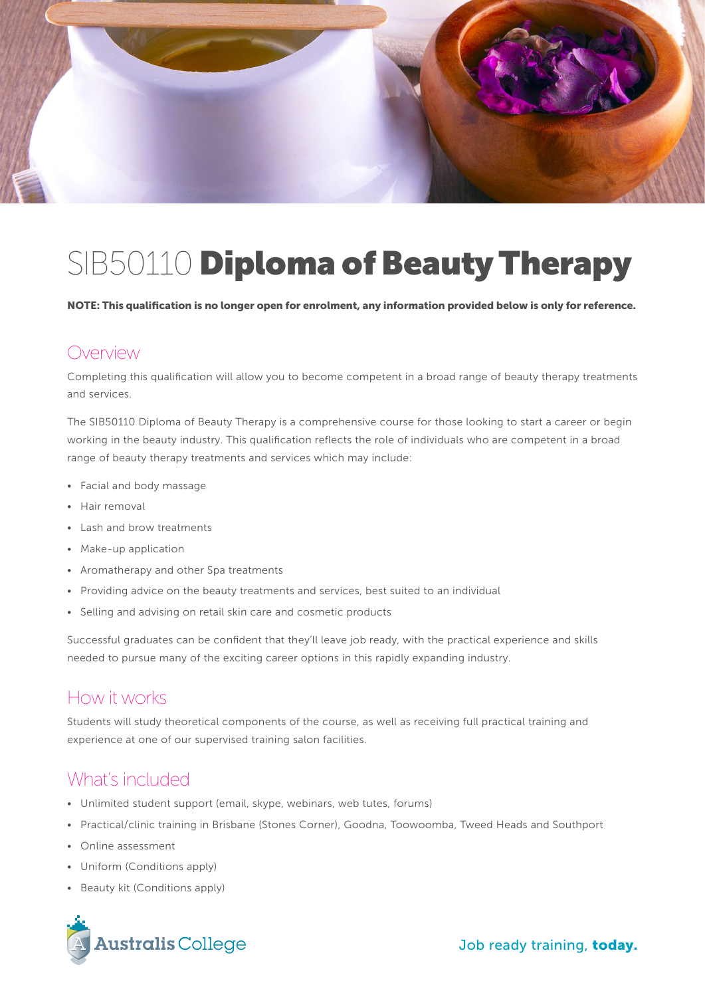

# SIB50110 Diploma of Beauty Therapy

NOTE: This qualification is no longer open for enrolment, any information provided below is only for reference.

#### Overview

Completing this qualification will allow you to become competent in a broad range of beauty therapy treatments and services.

The SIB50110 Diploma of Beauty Therapy is a comprehensive course for those looking to start a career or begin working in the beauty industry. This qualification reflects the role of individuals who are competent in a broad range of beauty therapy treatments and services which may include:

- Facial and body massage
- Hair removal
- Lash and brow treatments
- Make-up application
- Aromatherapy and other Spa treatments
- Providing advice on the beauty treatments and services, best suited to an individual
- Selling and advising on retail skin care and cosmetic products

Successful graduates can be confident that they'll leave job ready, with the practical experience and skills needed to pursue many of the exciting career options in this rapidly expanding industry.

#### How it works

Students will study theoretical components of the course, as well as receiving full practical training and experience at one of our supervised training salon facilities.

#### What's included

- Unlimited student support (email, skype, webinars, web tutes, forums)
- Practical/clinic training in Brisbane (Stones Corner), Goodna, Toowoomba, Tweed Heads and Southport
- Online assessment
- Uniform (Conditions apply)
- Beauty kit (Conditions apply)

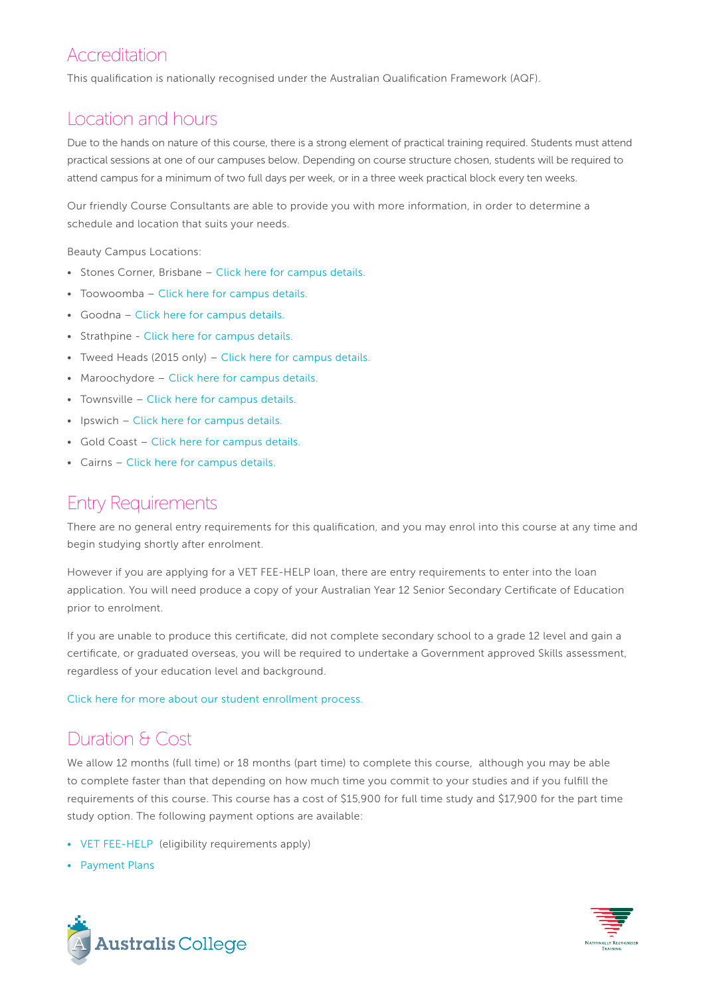## Accreditation

This qualification is nationally recognised under the Australian Qualification Framework (AQF).

## Location and hours

Due to the hands on nature of this course, there is a strong element of practical training required. Students must attend practical sessions at one of our campuses below. Depending on course structure chosen, students will be required to attend campus for a minimum of two full days per week, or in a three week practical block every ten weeks.

Our friendly Course Consultants are able to provide you with more information, in order to determine a schedule and location that suits your needs.

Beauty Campus Locations:

- Stones Corner, Brisbane – [Click here for campus details.](http://www.australiscollege.edu.au/campus-locations/stones-corner-campus/)
- Toowoomba [Click here for campus details.](http://www.australiscollege.edu.au/campus-locations/toowoomba-campus/)
- Goodna – [Click here for campus details.](http://www.australiscollege.edu.au/campus-locations/goodna-campus/)
- Strathpine - [Click here for campus details.](http://www.australiscollege.edu.au/campus-locations/australis-college-strathpine/)
- Tweed Heads (2015 only) [Click here for campus details.](http://www.australiscollege.edu.au/campus-locations/doyles-academy-australia/)
- Maroochydore – [Click here for campus details.](http://www.australiscollege.edu.au/campus-locations/australis-college-sunshine-coast-college-of-australian-training/)
- Townsville [Click here for campus details.](http://www.australiscollege.edu.au/campus-locations/australis-college-townsville-college-of-australian-training/)
- Ipswich – [Click here for campus details.](http://www.australiscollege.edu.au/campus-locations/australis-college-ipswich-college-of-australian-training/)
- Gold Coast [Click here for campus details.](http://www.australiscollege.edu.au/campus-locations/australis-college-gold-coast-college-of-australian-training/)
- Cairns [Click here for campus details.](http://www.australiscollege.edu.au/campus-locations/australis-college-cairns-college-of-australian-training/)

### Entry Requirements

There are no general entry requirements for this qualification, and you may enrol into this course at any time and begin studying shortly after enrolment.

However if you are applying for a VET FEE-HELP loan, there are entry requirements to enter into the loan application. You will need produce a copy of your Australian Year 12 Senior Secondary Certificate of Education prior to enrolment.

If you are unable to produce this certificate, did not complete secondary school to a grade 12 level and gain a certificate, or graduated overseas, you will be required to undertake a Government approved Skills assessment, regardless of your education level and background.

[Click here for more about our student enrollment process.](http://www.australiscollege.edu.au/vet-fee-help/student-entry-procedure/) 

# Duration & Cost

We allow 12 months (full time) or 18 months (part time) to complete this course, although you may be able to complete faster than that depending on how much time you commit to your studies and if you fulfill the requirements of this course. This course has a cost of \$15,900 for full time study and \$17,900 for the part time study option. The following payment options are available:

- [VET FEE-HELP](http://www.australiscollege.edu.au/vet-fee-help/) (eligibility requirements apply)
- [Payment Plans](http://www.australiscollege.edu.au/payment-plans/)



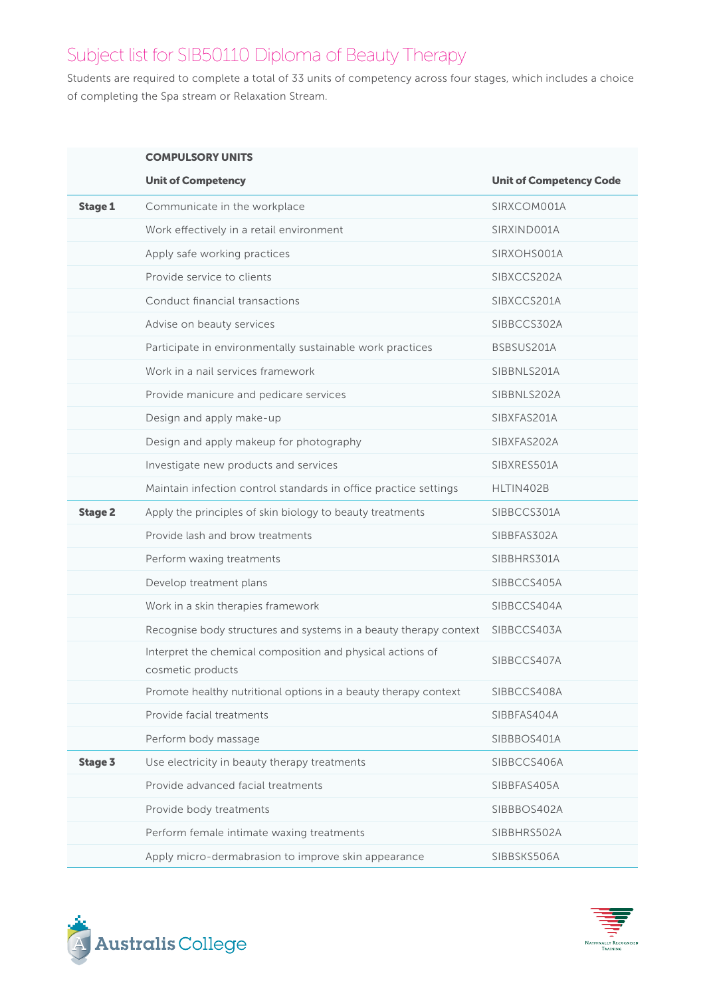# Subject list for SIB50110 Diploma of Beauty Therapy

Students are required to complete a total of 33 units of competency across four stages, which includes a choice of completing the Spa stream or Relaxation Stream.

|                | <b>COMPULSORY UNITS</b>                                                         |                                |
|----------------|---------------------------------------------------------------------------------|--------------------------------|
|                | <b>Unit of Competency</b>                                                       | <b>Unit of Competency Code</b> |
| <b>Stage 1</b> | Communicate in the workplace                                                    | SIRXCOM001A                    |
|                | Work effectively in a retail environment                                        | SIRXIND001A                    |
|                | Apply safe working practices                                                    | SIRXOHS001A                    |
|                | Provide service to clients                                                      | SIBXCCS202A                    |
|                | Conduct financial transactions                                                  | SIBXCCS201A                    |
|                | Advise on beauty services                                                       | SIBBCCS302A                    |
|                | Participate in environmentally sustainable work practices                       | BSBSUS201A                     |
|                | Work in a nail services framework                                               | SIBBNLS201A                    |
|                | Provide manicure and pedicare services                                          | SIBBNLS202A                    |
|                | Design and apply make-up                                                        | SIBXFAS201A                    |
|                | Design and apply makeup for photography                                         | SIBXFAS202A                    |
|                | Investigate new products and services                                           | SIBXRES501A                    |
|                | Maintain infection control standards in office practice settings                | HLTIN402B                      |
| <b>Stage 2</b> | Apply the principles of skin biology to beauty treatments                       | SIBBCCS301A                    |
|                | Provide lash and brow treatments                                                | SIBBFAS302A                    |
|                | Perform waxing treatments                                                       | SIBBHRS301A                    |
|                | Develop treatment plans                                                         | SIBBCCS405A                    |
|                | Work in a skin therapies framework                                              | SIBBCCS404A                    |
|                | Recognise body structures and systems in a beauty therapy context               | SIBBCCS403A                    |
|                | Interpret the chemical composition and physical actions of<br>cosmetic products | SIBBCCS407A                    |
|                | Promote healthy nutritional options in a beauty therapy context                 | SIBBCCS408A                    |
|                | Provide facial treatments                                                       | SIBBFAS404A                    |
|                | Perform body massage                                                            | SIBBBOS401A                    |
| <b>Stage 3</b> | Use electricity in beauty therapy treatments                                    | SIBBCCS406A                    |
|                | Provide advanced facial treatments                                              | SIBBFAS405A                    |
|                | Provide body treatments                                                         | SIBBBOS402A                    |
|                | Perform female intimate waxing treatments                                       | SIBBHRS502A                    |
|                | Apply micro-dermabrasion to improve skin appearance                             | SIBBSKS506A                    |